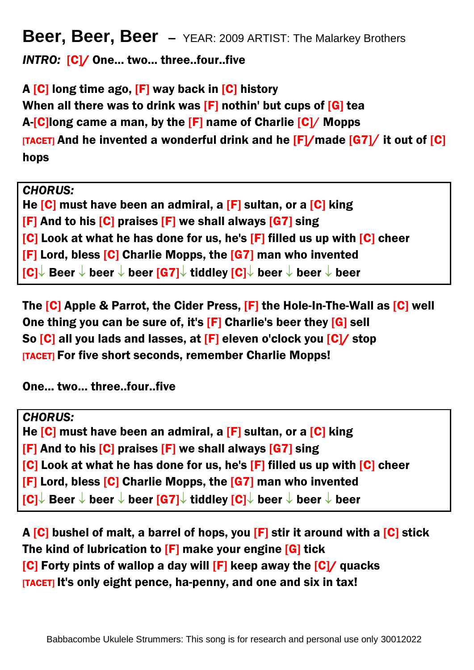## **Beer, Beer, Beer –** YEAR: 2009 ARTIST: The Malarkey Brothers

*INTRO:* [C]/ One... two... three..four..five

A  $[C]$  long time ago,  $[F]$  way back in  $[C]$  history When all there was to drink was  $[F]$  nothin' but cups of  $[G]$  tea A-[C]long came a man, by the [F] name of Charlie [C]/ Mopps  $[TACET]$  and he invented a wonderful drink and he  $[F]/$  made  $[G7]/$  it out of  $[G]$ hops

*CHORUS:*

He  $[C]$  must have been an admiral, a  $[F]$  sultan, or a  $[C]$  king [F] And to his [C] praises [F] we shall always [G7] sing [C] Look at what he has done for us, he's [F] filled us up with [C] cheer [F] Lord, bless [C] Charlie Mopps, the [G7] man who invented  $\overline{|\mathbf{C}|}$  Beer  $\downarrow$  beer  $\downarrow$  beer  $\overline{|\mathbf{G}|\downarrow}$  tiddley  $\overline{|\mathbf{C}|}$  beer  $\downarrow$  beer  $\downarrow$  beer

The [C] Apple & Parrot, the Cider Press, [F] the Hole-In-The-Wall as [C] well One thing you can be sure of, it's [F] Charlie's beer they [G] sell So [C] all you lads and lasses, at [F] eleven o'clock you [C]/ stop [TACET] For five short seconds, remember Charlie Mopps!

One... two... three..four..five

*CHORUS:* He  $[C]$  must have been an admiral, a  $[F]$  sultan, or a  $[C]$  king [F] And to his [C] praises [F] we shall always [G7] sing [C] Look at what he has done for us, he's [F] filled us up with [C] cheer [F] Lord, bless [C] Charlie Mopps, the [G7] man who invented  $|C|$  Beer  $\downarrow$  beer  $\downarrow$  beer  $|G7|$  tiddley  $|C|$  beer  $\downarrow$  beer  $\downarrow$  beer

A  $[C]$  bushel of malt, a barrel of hops, you  $[F]$  stir it around with a  $[C]$  stick The kind of lubrication to [F] make your engine [G] tick  $|C|$  Forty pints of wallop a day will  $|F|$  keep away the  $|C|$  quacks [TACET] It's only eight pence, ha-penny, and one and six in tax!